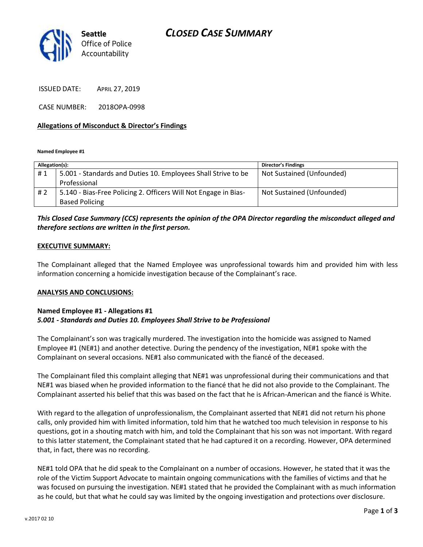

ISSUED DATE: APRIL 27, 2019

CASE NUMBER: 2018OPA-0998

#### **Allegations of Misconduct & Director's Findings**

**Named Employee #1**

| Allegation(s): |                                                                 | Director's Findings       |
|----------------|-----------------------------------------------------------------|---------------------------|
| #1             | 5.001 - Standards and Duties 10. Employees Shall Strive to be   | Not Sustained (Unfounded) |
|                | Professional                                                    |                           |
| #2             | 5.140 - Bias-Free Policing 2. Officers Will Not Engage in Bias- | Not Sustained (Unfounded) |
|                | <b>Based Policing</b>                                           |                           |

### *This Closed Case Summary (CCS) represents the opinion of the OPA Director regarding the misconduct alleged and therefore sections are written in the first person.*

#### **EXECUTIVE SUMMARY:**

The Complainant alleged that the Named Employee was unprofessional towards him and provided him with less information concerning a homicide investigation because of the Complainant's race.

#### **ANALYSIS AND CONCLUSIONS:**

#### **Named Employee #1 - Allegations #1** *5.001 - Standards and Duties 10. Employees Shall Strive to be Professional*

The Complainant's son was tragically murdered. The investigation into the homicide was assigned to Named Employee #1 (NE#1) and another detective. During the pendency of the investigation, NE#1 spoke with the Complainant on several occasions. NE#1 also communicated with the fiancé of the deceased.

The Complainant filed this complaint alleging that NE#1 was unprofessional during their communications and that NE#1 was biased when he provided information to the fiancé that he did not also provide to the Complainant. The Complainant asserted his belief that this was based on the fact that he is African-American and the fiancé is White.

With regard to the allegation of unprofessionalism, the Complainant asserted that NE#1 did not return his phone calls, only provided him with limited information, told him that he watched too much television in response to his questions, got in a shouting match with him, and told the Complainant that his son was not important. With regard to this latter statement, the Complainant stated that he had captured it on a recording. However, OPA determined that, in fact, there was no recording.

NE#1 told OPA that he did speak to the Complainant on a number of occasions. However, he stated that it was the role of the Victim Support Advocate to maintain ongoing communications with the families of victims and that he was focused on pursuing the investigation. NE#1 stated that he provided the Complainant with as much information as he could, but that what he could say was limited by the ongoing investigation and protections over disclosure.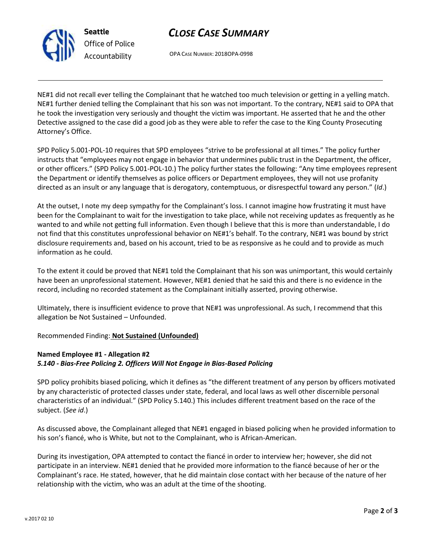

**Seattle** *Office of Police Accountability*

# *CLOSE CASE SUMMARY*

OPA CASE NUMBER: 2018OPA-0998

NE#1 did not recall ever telling the Complainant that he watched too much television or getting in a yelling match. NE#1 further denied telling the Complainant that his son was not important. To the contrary, NE#1 said to OPA that he took the investigation very seriously and thought the victim was important. He asserted that he and the other Detective assigned to the case did a good job as they were able to refer the case to the King County Prosecuting Attorney's Office.

SPD Policy 5.001-POL-10 requires that SPD employees "strive to be professional at all times." The policy further instructs that "employees may not engage in behavior that undermines public trust in the Department, the officer, or other officers." (SPD Policy 5.001-POL-10.) The policy further states the following: "Any time employees represent the Department or identify themselves as police officers or Department employees, they will not use profanity directed as an insult or any language that is derogatory, contemptuous, or disrespectful toward any person." (*Id*.)

At the outset, I note my deep sympathy for the Complainant's loss. I cannot imagine how frustrating it must have been for the Complainant to wait for the investigation to take place, while not receiving updates as frequently as he wanted to and while not getting full information. Even though I believe that this is more than understandable, I do not find that this constitutes unprofessional behavior on NE#1's behalf. To the contrary, NE#1 was bound by strict disclosure requirements and, based on his account, tried to be as responsive as he could and to provide as much information as he could.

To the extent it could be proved that NE#1 told the Complainant that his son was unimportant, this would certainly have been an unprofessional statement. However, NE#1 denied that he said this and there is no evidence in the record, including no recorded statement as the Complainant initially asserted, proving otherwise.

Ultimately, there is insufficient evidence to prove that NE#1 was unprofessional. As such, I recommend that this allegation be Not Sustained – Unfounded.

Recommended Finding: **Not Sustained (Unfounded)**

### **Named Employee #1 - Allegation #2** *5.140 - Bias-Free Policing 2. Officers Will Not Engage in Bias-Based Policing*

SPD policy prohibits biased policing, which it defines as "the different treatment of any person by officers motivated by any characteristic of protected classes under state, federal, and local laws as well other discernible personal characteristics of an individual." (SPD Policy 5.140.) This includes different treatment based on the race of the subject. (*See id*.)

As discussed above, the Complainant alleged that NE#1 engaged in biased policing when he provided information to his son's fiancé, who is White, but not to the Complainant, who is African-American.

During its investigation, OPA attempted to contact the fiancé in order to interview her; however, she did not participate in an interview. NE#1 denied that he provided more information to the fiancé because of her or the Complainant's race. He stated, however, that he did maintain close contact with her because of the nature of her relationship with the victim, who was an adult at the time of the shooting.